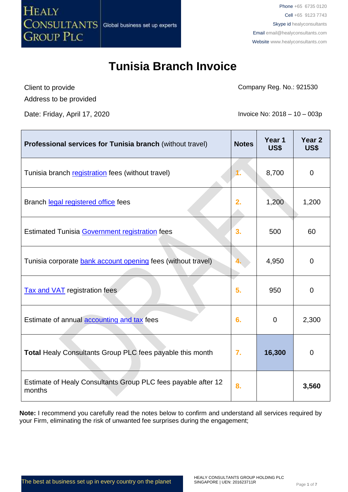

Phone +65 6735 0120 Cell +65 9123 7743 Skype id healyconsultants Email [email@healyconsultants.com](mailto:EMAIL@HEALYCONSULTANTS.COM) Website [www.healyconsultants.com](http://www.healyconsultants.com/)

# **Tunisia Branch Invoice**

Client to provide Address to be provided Company Reg. No.: 921530

Date: Friday, April 17, 2020 **Invoice No: 2018** – 10 – 003p

| <b>Professional services for Tunisia branch (without travel)</b>        | <b>Notes</b> | Year 1<br>US\$ | Year <sub>2</sub><br><b>US\$</b> |
|-------------------------------------------------------------------------|--------------|----------------|----------------------------------|
| Tunisia branch registration fees (without travel)                       | 1.           | 8,700          | 0                                |
| Branch legal registered office fees                                     | 2.           | 1,200          | 1,200                            |
| <b>Estimated Tunisia Government registration fees</b>                   | 3.           | 500            | 60                               |
| Tunisia corporate bank account opening fees (without travel)            | 4.           | 4,950          | $\overline{0}$                   |
| <b>Tax and VAT</b> registration fees                                    | 5.           | 950            | $\overline{0}$                   |
| Estimate of annual accounting and tax fees                              | 6.           | $\Omega$       | 2,300                            |
| <b>Total Healy Consultants Group PLC fees payable this month</b>        | 7.           | 16,300         | 0                                |
| Estimate of Healy Consultants Group PLC fees payable after 12<br>months | 8.           |                | 3,560                            |

**Note:** I recommend you carefully read the notes below to confirm and understand all services required by your Firm, eliminating the risk of unwanted fee surprises during the engagement;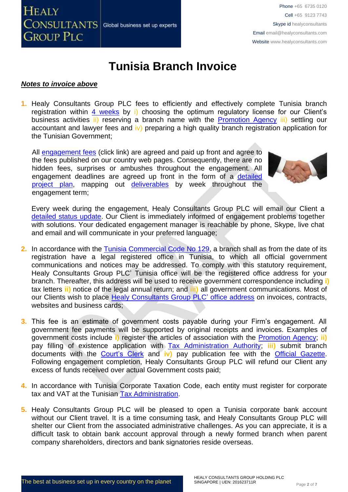

#### *Notes to invoice above*

**1.** Healy Consultants Group PLC fees to efficiently and effectively complete Tunisia branch registration within 4 [weeks](http://www.healyconsultants.com/tunisia-company-registration/fees-timelines/#timelines) by i) choosing the optimum regulatory license for our Client's business activities ii) reserving a branch name with the [Promotion Agency](http://www.tunisieindustrie.nat.tn/fr/doc.asp?mcat=13&mrub=96) iii) settling our accountant and lawyer fees and  $\mathbf{v}$ ) preparing a high quality branch registration application for the Tunisian Government;

All [engagement fees](http://www.healyconsultants.com/company-registration-fees/) (click link) are agreed and paid up front and agree to the fees published on our country web pages. Consequently, there are no hidden fees, surprises or ambushes throughout the engagement. All engagement deadlines are agreed up front in the form of a [detailed](http://www.healyconsultants.com/index-important-links/example-project-plan/)  [project plan,](http://www.healyconsultants.com/index-important-links/example-project-plan/) mapping out [deliverables](http://www.healyconsultants.com/deliverables-to-our-clients/) by week throughout the engagement term;



Every week during the engagement, Healy Consultants Group PLC will email our Client a [detailed status update.](http://www.healyconsultants.com/index-important-links/weekly-engagement-status-email/) Our Client is immediately informed of engagement problems together with solutions. Your dedicated engagement manager is reachable by phone, Skype, live chat and email and will communicate in your preferred language;

- **2.** In accordance with the [Tunisia Commercial Code No 129,](http://www.wipo.int/wipolex/en/text.jsp?file_id=202217) a branch shall as from the date of its registration have a legal registered office in Tunisia, to which all official government communications and notices may be addressed. To comply with this statutory requirement, Healy Consultants Group PLC' Tunisia office will be the registered office address for your branch. Thereafter, this address will be used to receive government correspondence including **i)** tax letters **ii)** notice of the legal annual return; and **iii)** all government communications. Most of our Clients wish to place [Healy Consultants Group PLC'](http://www.healyconsultants.com/corporate-outsourcing-services/company-secretary-and-legal-registered-office/) office address on invoices, contracts, websites and business cards;
- **3.** This fee is an estimate of government costs payable during your Firm's engagement. All government fee payments will be supported by original receipts and invoices. Examples of government costs include **i)** register the articles of association with the [Promotion Agency;](http://www.tunisieindustrie.nat.tn/fr/doc.asp?mcat=13&mrub=96) **ii)** pay filling of existence application with [Tax Administration Authority;](http://www.pm.gov.tn/pm/article/article.php?id=199&lang=en) **iii)** submit branch documents with the [Court's Clerk](http://www.tunisieindustrie.nat.tn/en/doc.asp?mcat=13&mrub=99&msrub=184&dev=true#&tar&) and **iv)** pay publication fee with the [Official Gazette.](http://www.linguee.com/french-english/translation/journal+officiel+de+la+r%C3%A9publique+tunisienne.html) Following engagement completion, Healy Consultants Group PLC will refund our Client any excess of funds received over actual Government costs paid;
- **4.** In accordance with Tunisia Corporate Taxation Code, each entity must register for corporate tax and VAT at the Tunisian [Tax Administration.](http://www.pm.gov.tn/pm/article/article.php?id=199&lang=en)
- **5.** Healy Consultants Group PLC will be pleased to open a Tunisia corporate bank account without our Client travel. It is a time consuming task, and Healy Consultants Group PLC will shelter our Client from the associated administrative challenges. As you can appreciate, it is a difficult task to obtain bank account approval through a newly formed branch when parent company shareholders, directors and bank signatories reside overseas.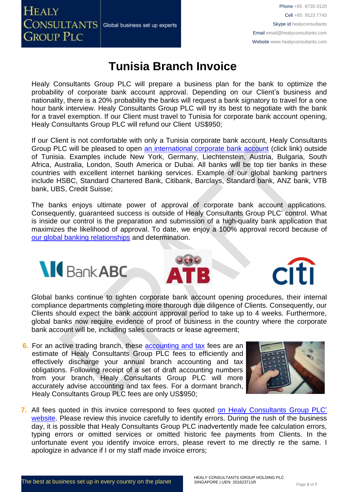## **HEALY CONSULTANTS** Global business set up experts **GROUP PLC**

Phone +65 6735 0120 Cell +65 9123 7743 Skype id healyconsultants Email [email@healyconsultants.com](mailto:EMAIL@HEALYCONSULTANTS.COM) Website [www.healyconsultants.com](http://www.healyconsultants.com/)

## **Tunisia Branch Invoice**

Healy Consultants Group PLC will prepare a business plan for the bank to optimize the probability of corporate bank account approval. Depending on our Client's business and nationality, there is a 20% probability the banks will request a bank signatory to travel for a one hour bank interview. Healy Consultants Group PLC will try its best to negotiate with the bank for a travel exemption. If our Client must travel to Tunisia for corporate bank account opening, Healy Consultants Group PLC will refund our Client US\$950;

If our Client is not comfortable with only a Tunisia corporate bank account, Healy Consultants Group PLC will be pleased to open [an international corporate bank account](http://www.healyconsultants.com/international-banking/) (click link) outside of Tunisia. Examples include New York, Germany, Liechtenstein, Austria, Bulgaria, South Africa, Australia, London, South America or Dubai. All banks will be top tier banks in these countries with excellent internet banking services. Example of our global banking partners include HSBC, Standard Chartered Bank, Citibank, Barclays, Standard bank, ANZ bank, VTB bank, UBS, Credit Suisse;

The banks enjoys ultimate power of approval of corporate bank account applications. Consequently, guaranteed success is outside of Healy Consultants Group PLC' control. What is inside our control is the preparation and submission of a high-quality bank application that maximizes the likelihood of approval. To date, we enjoy a 100% approval record because of [our global banking relationships](http://www.healyconsultants.com/international-banking/corporate-accounts/) and determination.







Global banks continue to tighten corporate bank account opening procedures, their internal compliance departments completing more thorough due diligence of Clients. Consequently, our Clients should expect the bank account approval period to take up to 4 weeks. Furthermore, global banks now require evidence of proof of business in the country where the corporate bank account will be, including sales contracts or lease agreement;

**6.** For an active trading branch, these [accounting and tax](http://www.healyconsultants.com/tunisia-company-registration/accounting-legal/) fees are an estimate of Healy Consultants Group PLC fees to efficiently and effectively discharge your annual branch accounting and tax obligations. Following receipt of a set of draft accounting numbers from your branch, Healy Consultants Group PLC will more accurately advise accounting and tax fees. For a dormant branch, Healy Consultants Group PLC fees are only US\$950;



**7.** All fees quoted in this invoice correspond to fees quoted [on Healy Consultants Group PLC'](http://www.healyconsultants.com/company-registration-fees/) [website.](http://www.healyconsultants.com/company-registration-fees/) Please review this invoice carefully to identify errors. During the rush of the business day, it is possible that Healy Consultants Group PLC inadvertently made fee calculation errors, typing errors or omitted services or omitted historic fee payments from Clients. In the unfortunate event you identify invoice errors, please revert to me directly re the same. I apologize in advance if I or my staff made invoice errors;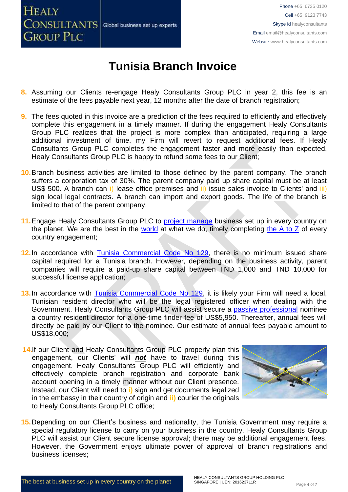

- **8.** Assuming our Clients re-engage Healy Consultants Group PLC in year 2, this fee is an estimate of the fees payable next year, 12 months after the date of branch registration;
- **9.** The fees quoted in this invoice are a prediction of the fees required to efficiently and effectively complete this engagement in a timely manner. If during the engagement Healy Consultants Group PLC realizes that the project is more complex than anticipated, requiring a large additional investment of time, my Firm will revert to request additional fees. If Healy Consultants Group PLC completes the engagement faster and more easily than expected, Healy Consultants Group PLC is happy to refund some fees to our Client;
- **10.**Branch business activities are limited to those defined by the parent company. The branch suffers a corporation tax of 30%. The parent company paid up share capital must be at least US\$ 500. A branch can i) lease office premises and ii) issue sales invoice to Clients' and iii) sign local legal contracts. A branch can import and export goods. The life of the branch is limited to that of the parent company.
- **11.**Engage Healy Consultants Group PLC to [project manage](http://www.healyconsultants.com/project-manage-engagements/) business set up in every country on the planet. We are the best in the [world](http://www.healyconsultants.com/best-in-the-world/) at what we do, timely completing the  $A$  to  $Z$  of every country engagement;
- **12.**In accordance with [Tunisia Commercial Code No 129,](http://www.wipo.int/wipolex/en/text.jsp?file_id=202217) there is no minimum issued share capital required for a Tunisia branch. However, depending on the business activity, parent companies will require a paid-up share capital between TND 1,000 and TND 10,000 for successful license application;
- **13.**In accordance with [Tunisia Commercial Code No 129,](http://www.wipo.int/wipolex/en/text.jsp?file_id=202217) it is likely your Firm will need a local, Tunisian resident director who will be the legal registered officer when dealing with the Government. Healy Consultants Group PLC will assist secure a [passive professional](http://www.healyconsultants.com/resident-director-services/) nominee a country resident director for a one-time finder fee of US\$5,950. Thereafter, annual fees will directly be paid by our Client to the nominee. Our estimate of annual fees payable amount to US\$18,000;
- 14.If our Client and Healy Consultants Group PLC properly plan this engagement, our Clients' will *not* have to travel during this engagement. Healy Consultants Group PLC will efficiently and effectively complete branch registration and corporate bank account opening in a timely manner without our Client presence. Instead, our Client will need to **i)** sign and get documents legalized in the embassy in their country of origin and **ii)** courier the originals to Healy Consultants Group PLC office;



**15.**Depending on our Client's business and nationality, the Tunisia Government may require a special regulatory license to carry on your business in the country. Healy Consultants Group PLC will assist our Client secure license approval; there may be additional engagement fees. However, the Government enjoys ultimate power of approval of branch registrations and business licenses;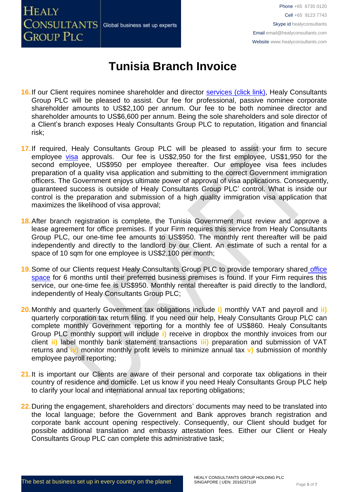

- 16. If our Client requires nominee shareholder and director services [\(click link\),](http://www.healyconsultants.com/corporate-outsourcing-services/nominee-shareholders-directors/) Healy Consultants Group PLC will be pleased to assist. Our fee for professional, passive nominee corporate shareholder amounts to US\$2,100 per annum. Our fee to be both nominee director and shareholder amounts to US\$6,600 per annum. Being the sole shareholders and sole director of a Client's branch exposes Healy Consultants Group PLC to reputation, litigation and financial risk;
- **17.**If required, Healy Consultants Group PLC will be pleased to assist your firm to secure employee [visa](http://www.healyconsultants.com/corporate-advisory-services/migration/) approvals. Our fee is US\$2,950 for the first employee, US\$1,950 for the second employee, US\$950 per employee thereafter. Our employee visa fees includes preparation of a quality visa application and submitting to the correct Government immigration officers. The Government enjoys ultimate power of approval of visa applications. Consequently, guaranteed success is outside of Healy Consultants Group PLC' control. What is inside our control is the preparation and submission of a high quality immigration visa application that maximizes the likelihood of visa approval;
- **18.**After branch registration is complete, the Tunisia Government must review and approve a lease agreement for office premises. If your Firm requires this service from Healy Consultants Group PLC, our one-time fee amounts to US\$950. The monthly rent thereafter will be paid independently and directly to the landlord by our Client. An estimate of such a rental for a space of 10 sqm for one employee is US\$2,100 per month;
- **19.**Some of our Clients request Healy Consultants Group PLC to provide temporary shared [office](http://www.healyconsultants.com/virtual-office/)  [space](http://www.healyconsultants.com/virtual-office/) for 6 months until their preferred business premises is found. If your Firm requires this service, our one-time fee is US\$950. Monthly rental thereafter is paid directly to the landlord, independently of Healy Consultants Group PLC;
- **20.**Monthly and quarterly Government tax obligations include **i)** monthly VAT and payroll and **ii)** quarterly corporation tax return filing. If you need our help, Healy Consultants Group PLC can complete monthly Government reporting for a monthly fee of US\$860. Healy Consultants Group PLC monthly support will include **i)** receive in dropbox the monthly invoices from our client **ii)** label monthly bank statement transactions **iii)** preparation and submission of VAT returns and **iv)** monitor monthly profit levels to minimize annual tax **v)** submission of monthly employee payroll reporting;
- 21. It is important our Clients are aware of their personal and corporate tax obligations in their country of residence and domicile. Let us know if you need Healy Consultants Group PLC help to clarify your local and international annual tax reporting obligations;
- **22.**During the engagement, shareholders and directors' documents may need to be translated into the local language; before the Government and Bank approves branch registration and corporate bank account opening respectively. Consequently, our Client should budget for possible additional translation and embassy attestation fees. Either our Client or Healy Consultants Group PLC can complete this administrative task;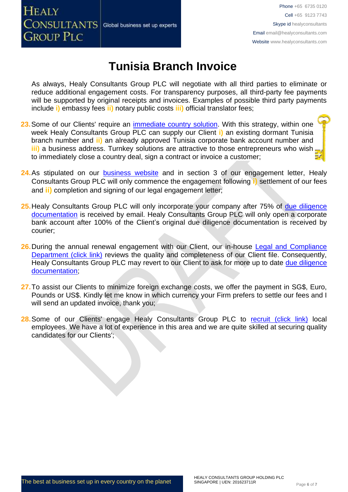# **HEALY CONSULTANTS** Global business set up experts **GROUP PLC**

Phone +65 6735 0120 Cell +65 9123 7743 Skype id healyconsultants Email [email@healyconsultants.com](mailto:EMAIL@HEALYCONSULTANTS.COM) Website [www.healyconsultants.com](http://www.healyconsultants.com/)

# **Tunisia Branch Invoice**

As always, Healy Consultants Group PLC will negotiate with all third parties to eliminate or reduce additional engagement costs. For transparency purposes, all third-party fee payments will be supported by original receipts and invoices. Examples of possible third party payments include **i)** embassy fees **ii)** notary public costs **iii)** official translator fees;

- 23. Some of our Clients' require an *immediate country solution*. With this strategy, within one week Healy Consultants Group PLC can supply our Client **i)** an existing dormant Tunisia branch number and **ii)** an already approved Tunisia corporate bank account number and **iii)** a business address. Turnkey solutions are attractive to those entrepreneurs who wish to immediately close a country deal, sign a contract or invoice a customer;
- **24.**As stipulated on our [business website](http://www.healyconsultants.com/) and in section 3 of our engagement letter, Healy Consultants Group PLC will only commence the engagement following **i)** settlement of our fees and **ii)** completion and signing of our legal engagement letter;
- **25.**Healy Consultants Group PLC will only incorporate your company after 75% of [due diligence](http://www.healyconsultants.com/due-diligence/)  [documentation](http://www.healyconsultants.com/due-diligence/) is received by email. Healy Consultants Group PLC will only open a corporate bank account after 100% of the Client's original due diligence documentation is received by courier;
- **26.**During the annual renewal engagement with our Client, our in-house [Legal and Compliance](http://www.healyconsultants.com/about-us/key-personnel/cai-xin-profile/)  [Department \(click](http://www.healyconsultants.com/about-us/key-personnel/cai-xin-profile/) link) reviews the quality and completeness of our Client file. Consequently, Healy Consultants Group PLC may revert to our Client to ask for more up to date due diligence [documentation;](http://www.healyconsultants.com/due-diligence/)
- **27.**To assist our Clients to minimize foreign exchange costs, we offer the payment in SG\$, Euro, Pounds or US\$. Kindly let me know in which currency your Firm prefers to settle our fees and I will send an updated invoice, thank you;
- 28. Some of our Clients' engage Healy Consultants Group PLC to [recruit \(click link\)](http://www.healyconsultants.com/corporate-outsourcing-services/how-we-help-our-clients-recruit-quality-employees/) local employees. We have a lot of experience in this area and we are quite skilled at securing quality candidates for our Clients';